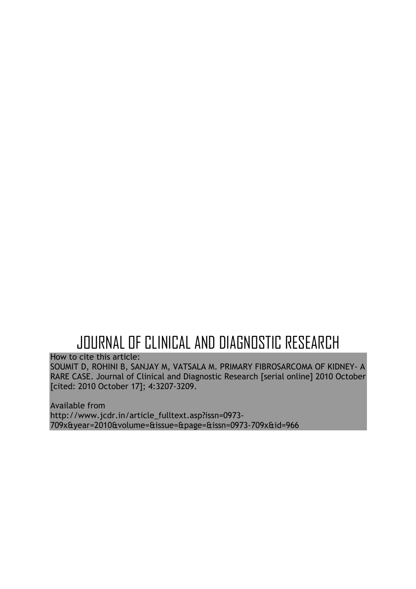# JOURNAL OF CLINICAL AND DIAGNOSTIC RESEARCH

How to cite this article:

SOUMIT D, ROHINI B, SANJAY M, VATSALA M. PRIMARY FIBROSARCOMA OF KIDNEY- A RARE CASE. Journal of Clinical and Diagnostic Research [serial online] 2010 October [cited: 2010 October 17]; 4:3207-3209.

Available from http://www.jcdr.in/article\_fulltext.asp?issn=0973- 709x&year=2010&volume=&issue=&page=&issn=0973-709x&id=966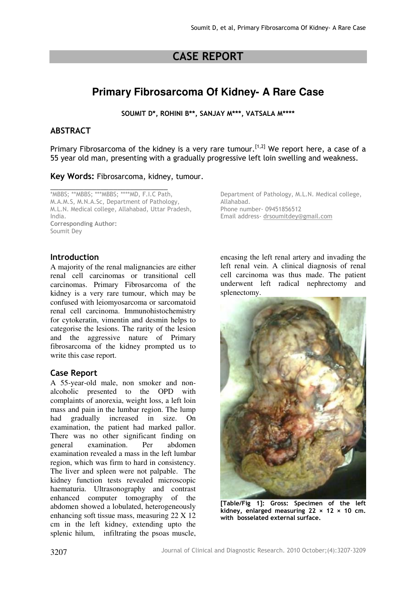## CASE REPORT

# **Primary Fibrosarcoma Of Kidney- A Rare Case**

SOUMIT D\*, ROHINI B\*\*, SANJAY M\*\*\*, VATSALA M\*\*\*\*

### **ABSTRACT**

Primary Fibrosarcoma of the kidney is a very rare tumour.<sup>[1,2]</sup> We report here, a case of a 55 year old man, presenting with a gradually progressive left loin swelling and weakness.

#### Key Words: Fibrosarcoma, kidney, tumour.

\_\_\_\_\_\_\_\_\_\_\_\_\_\_\_\_\_\_\_\_\_\_\_\_\_\_\_\_ \*MBBS; \*\*MBBS; \*\*\*MBBS; \*\*\*\*MD, F.I.C Path, M.A.M.S, M.N.A.Sc, Department of Pathology, M.L.N. Medical college, Allahabad, Uttar Pradesh, India. Corresponding Author: Soumit Dey

Introduction

A majority of the renal malignancies are either renal cell carcinomas or transitional cell carcinomas. Primary Fibrosarcoma of the kidney is a very rare tumour, which may be confused with leiomyosarcoma or sarcomatoid renal cell carcinoma. Immunohistochemistry for cytokeratin, vimentin and desmin helps to categorise the lesions. The rarity of the lesion and the aggressive nature of Primary fibrosarcoma of the kidney prompted us to write this case report.

#### Case Report

A 55-year-old male, non smoker and nonalcoholic presented to the OPD with complaints of anorexia, weight loss, a left loin mass and pain in the lumbar region. The lump had gradually increased in size. On examination, the patient had marked pallor. There was no other significant finding on general examination. Per abdomen examination revealed a mass in the left lumbar region, which was firm to hard in consistency. The liver and spleen were not palpable. The kidney function tests revealed microscopic haematuria. Ultrasonography and contrast enhanced computer tomography of the abdomen showed a lobulated, heterogeneously enhancing soft tissue mass, measuring 22 X 12 cm in the left kidney, extending upto the splenic hilum, infiltrating the psoas muscle,

Department of Pathology, M.L.N. Medical college, Allahabad. Phone number- 09451856512 Email address- drsoumitdey@gmail.com

encasing the left renal artery and invading the left renal vein. A clinical diagnosis of renal cell carcinoma was thus made. The patient underwent left radical nephrectomy and splenectomy.



[Table/Fig 1]: Gross: Specimen of the left kidney, enlarged measuring 22 × 12 × 10 cm. with **bosselated** external surface.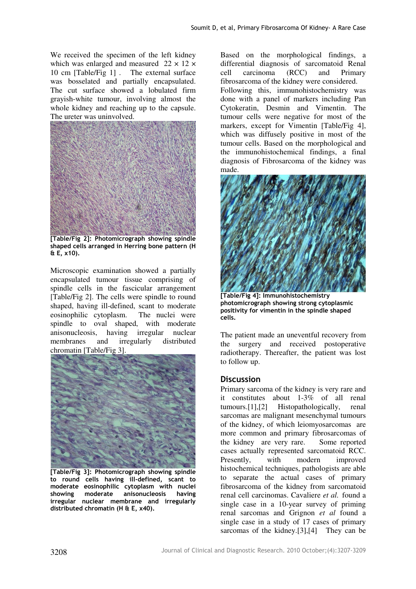We received the specimen of the left kidney which was enlarged and measured  $22 \times 12 \times$ 10 cm [Table/Fig 1] . The external surface was bosselated and partially encapsulated. The cut surface showed a lobulated firm grayish-white tumour, involving almost the whole kidney and reaching up to the capsule. The ureter was uninvolved.



[Table/Fig 2]: Photomicrograph showing spindle shaped cells arranged in Herring bone pattern (H & E, x10).

Microscopic examination showed a partially encapsulated tumour tissue comprising of spindle cells in the fascicular arrangement [Table/Fig 2]. The cells were spindle to round shaped, having ill-defined, scant to moderate eosinophilic cytoplasm. The nuclei were spindle to oval shaped, with moderate anisonucleosis, having irregular nuclear membranes and irregularly distributed chromatin [Table/Fig 3].



[Table/Fig 3]: Photomicrograph showing spindle to round cells having ill-defined, scant to moderate eosinophilic cytoplasm with nuclei showing moderate anisonucleosis having irregular nuclear membrane and irregularly distributed chromatin (H & E, x40).

Based on the morphological findings, a differential diagnosis of sarcomatoid Renal cell carcinoma (RCC) and Primary fibrosarcoma of the kidney were considered. Following this, immunohistochemistry was done with a panel of markers including Pan Cytokeratin, Desmin and Vimentin. The tumour cells were negative for most of the markers, except for Vimentin [Table/Fig 4], which was diffusely positive in most of the tumour cells. Based on the morphological and the immunohistochemical findings, a final diagnosis of Fibrosarcoma of the kidney was made.



[Table/Fig 4]: Immunohistochemistry photomicrograph showing strong cytoplasmic positivity for vimentin in the spindle shaped cells.

The patient made an uneventful recovery from the surgery and received postoperative radiotherapy. Thereafter, the patient was lost to follow up.

## **Discussion**

Primary sarcoma of the kidney is very rare and it constitutes about 1-3% of all renal tumours.[1],[2] Histopathologically, renal sarcomas are malignant mesenchymal tumours of the kidney, of which leiomyosarcomas are more common and primary fibrosarcomas of the kidney are very rare. Some reported cases actually represented sarcomatoid RCC. Presently, with modern improved histochemical techniques, pathologists are able to separate the actual cases of primary fibrosarcoma of the kidney from sarcomatoid renal cell carcinomas. Cavaliere *et al.* found a single case in a 10-year survey of priming renal sarcomas and Grignon *et al* found a single case in a study of 17 cases of primary sarcomas of the kidney.<sup>[3]</sup>,<sup>[4]</sup> They can be